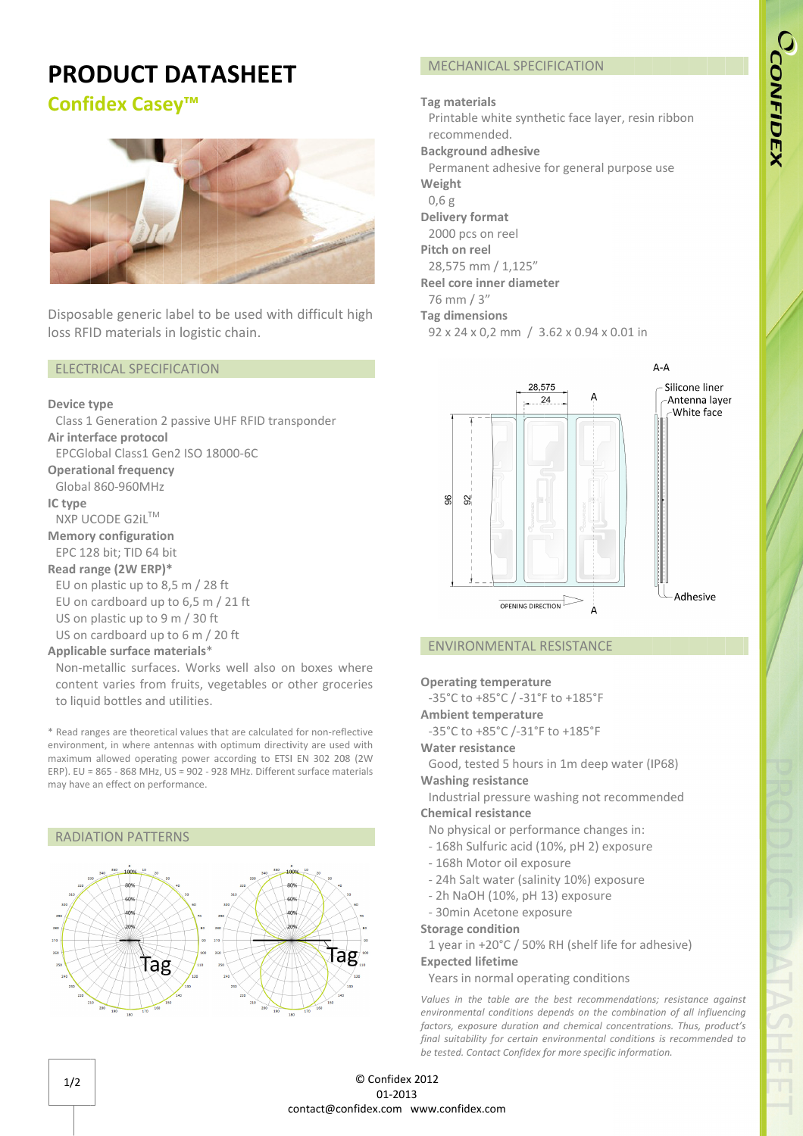# CCONFIDEX

# PRODUCT DATASHEET

# Confidex Casey Casey™



Disposable generic label to be used with difficult<br>loss RFID materials in logistic chain. loss RFID materials in logistic chain.

# ELECTRICAL SPECIFICATION ELECTRICAL

# Device type

Air interface protocol Operational frequency IC type Memory configuration Read range (2W ERP) Applicable surface materials \* Class 1 Generation 2 passive UHF RFID transponder EPCGlobal Class1 Gen2 ISO 18000 18000-6C 6CGlobal 860-960MHz NXP UCODE G2iL EPC 128 bit; TID 64 bit EU on plastic up to 8,5 m / 28 ft EU on cardboard up to 6,5 m / 21 ft US on plastic up to 9 m / 30 US on cardboard up to 6 m / 20 ft Global Class1 Gen2<br>**ational frequency**<br>pal 860-960MHz<br>**e**<br>UCODE G2iL™<br>**ory configuration**<br>128 bit; TID 64 bit 1 Generation 2 passive<br>
erface protocol<br>
ilobal Class1 Gen2 ISO 1:<br>
tional frequency<br>
al 860-960MHz<br>
e<br>
UCODE G2iL<sup>TM</sup><br>
rry configuration<br>
128 bit; TID 64 bit<br>
range (2W ERP)\*<br>
n plastic up to 8,5 m / 28<br>
n cardboard up t t; TID 64<br>**(2W ERP**<br>tic up to MHz<br>iL<sup>TM</sup><br>iration 064 bit<br>of 4 bit<br> $ERP$ <sup>\*</sup><br>of 08 bit<br>of 09 m<br>of 09 m<br>of 09 m<br>is and ut<br>eoretical<br>sand ut<br>eoretical<br>mentages.<br>Form from and ut<br>eoretical<br>mentages. ERP)\* . m / 28<br>0 6,5 m<br>n / 30 ft<br>0 6 m / 2<br>**erials\***<br>. Works ft d with difficult high<br>|-<br>!<br>!<br>| Different surface different surface and with<br>| to ETSI EN 302 208 (2W<br>| Different surface materials

Non-metallic surfaces. Works well also on boxes where content varies from fruits, vegetables or other groceries to liquid bottles and utilities.

\* Read ranges are theoretical values that are calculated for non-reflective environment, in where antennas with optimum directivity are used with maximum allowed operating power according to ETSI EN 302 208 (2W  $ERP$ ).  $EU = 865 - 868 MHz$ ,  $US = 902 - 928 MHz$ . Different surface materials may have an effect on performance.

# RADIATION PATTERNS Tag Tag

# MECHANICAL SPECIFICATION

# Tag materials

Printable white synthetic face layer, resin ribbon recommended. **Background adhesive** Permanent adhesive for general purpose use Weight 0, 0,6 g ic face I<br>r genera<br>r<br>2 x 0.94

Delivery format

- 2000 pcs on reel
- Pitch on reel

28,575 mm / 1,125 1,125"

Reel core inner diameter

- 76 mm / 3"
- Tag dimensions
- 92 x 24 x 0,2 mm / 3.62 x 0. 94 x 0.01 in



# ENVIRONMENTAL RESISTANCE

# Operating temperature

-35°C to +85°C / -31 31°F to +185°F

- Ambient temperature
- -35°C to +85°C /-31°F to +185°F

# Water resistance

Good, tested 5 hours in 1m deep water (IP68) Washing resistance 35°C t<br>mbient<br>35°C t<br>ater re<br>acod, i<br>ashing<br>mdustr<br>nemica<br>No phy<br>168h 35°C to +85°C<br>
mbient temper<br>
35°C to +85°C<br>
ater resistance<br>
5000, tested 5<br>
ashing resistan<br>
mdustrial press<br>
nemical resistan<br>
No physical or<br>
168h Sulfuric l°F to +185°F<br>re<br>°F to +185°F<br>rs in 1m deep<br>washing not re<br>ormance chang<br>(10%, pH 2) ex<br>posure<br>linity 10%) exp

Industrial pressure washing not recommended Chemical resistance

- No physical or performance changes in:
- 168h Sulfuric acid (10%, pH 2) exposure - 168h Sulfuric acid (10%, <sub>|</sub><br>- 168h Motor oil exposure
- 
- 168h Motor oil exposure<br>- 24h Salt water (salinity 10%) exposure er (salinity 1)<br>)%, pH 13) ex<br>)ne exposure

Years in normal operating conditions

- 2h NaOH (10%, pH 13)
- 30min Acetone

# Storage condition

1 year in +20°C / 50% RH (shelf life for adhesive)

# Expected lifetime

Values in the table are the best recommendations; resistance against environmental conditions depends on the combination of all influencing factors, exposure duration and chemical concentrations. Thus, product's final suitability for certain environmental conditions is recommended to be tested. Contact Confidex for more specific information.